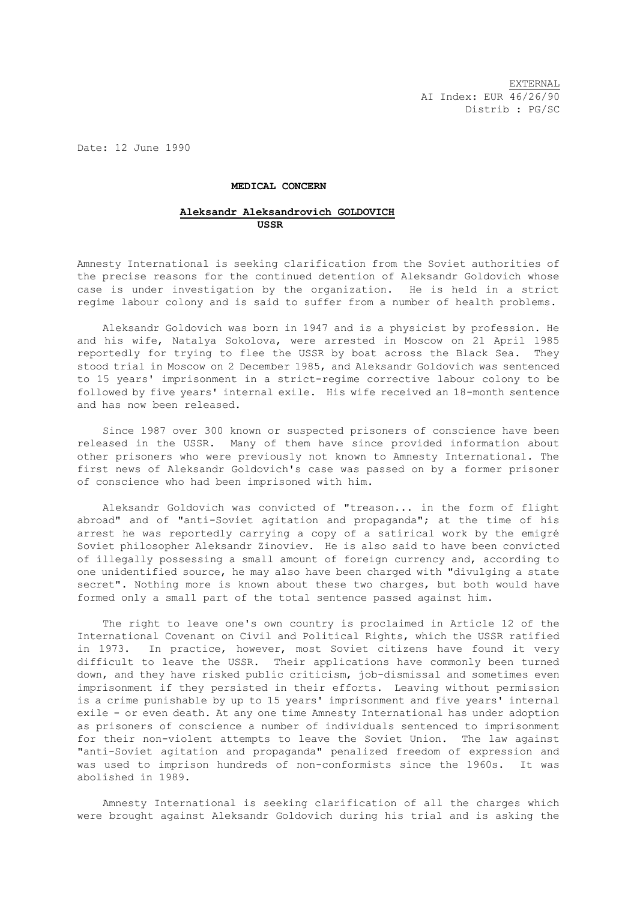EXTERNAL AI Index: EUR 46/26/90 Distrib : PG/SC

Date: 12 June 1990

## **MEDICAL CONCERN**

## **Aleksandr Aleksandrovich GOLDOVICH USSR**

Amnesty International is seeking clarification from the Soviet authorities of the precise reasons for the continued detention of Aleksandr Goldovich whose case is under investigation by the organization. He is held in a strict regime labour colony and is said to suffer from a number of health problems.

 Aleksandr Goldovich was born in 1947 and is a physicist by profession. He and his wife, Natalya Sokolova, were arrested in Moscow on 21 April 1985 reportedly for trying to flee the USSR by boat across the Black Sea. They stood trial in Moscow on 2 December 1985, and Aleksandr Goldovich was sentenced to 15 years' imprisonment in a strict-regime corrective labour colony to be followed by five years' internal exile. His wife received an 18-month sentence and has now been released.

 Since 1987 over 300 known or suspected prisoners of conscience have been released in the USSR. Many of them have since provided information about other prisoners who were previously not known to Amnesty International. The first news of Aleksandr Goldovich's case was passed on by a former prisoner of conscience who had been imprisoned with him.

 Aleksandr Goldovich was convicted of "treason... in the form of flight abroad" and of "anti-Soviet agitation and propaganda"; at the time of his arrest he was reportedly carrying a copy of a satirical work by the emigré Soviet philosopher Aleksandr Zinoviev. He is also said to have been convicted of illegally possessing a small amount of foreign currency and, according to one unidentified source, he may also have been charged with "divulging a state secret". Nothing more is known about these two charges, but both would have formed only a small part of the total sentence passed against him.

 The right to leave one's own country is proclaimed in Article 12 of the International Covenant on Civil and Political Rights, which the USSR ratified in 1973. In practice, however, most Soviet citizens have found it very difficult to leave the USSR. Their applications have commonly been turned down, and they have risked public criticism, job-dismissal and sometimes even imprisonment if they persisted in their efforts. Leaving without permission is a crime punishable by up to 15 years' imprisonment and five years' internal exile - or even death. At any one time Amnesty International has under adoption as prisoners of conscience a number of individuals sentenced to imprisonment for their non-violent attempts to leave the Soviet Union. The law against "anti-Soviet agitation and propaganda" penalized freedom of expression and was used to imprison hundreds of non-conformists since the 1960s. It was abolished in 1989.

 Amnesty International is seeking clarification of all the charges which were brought against Aleksandr Goldovich during his trial and is asking the